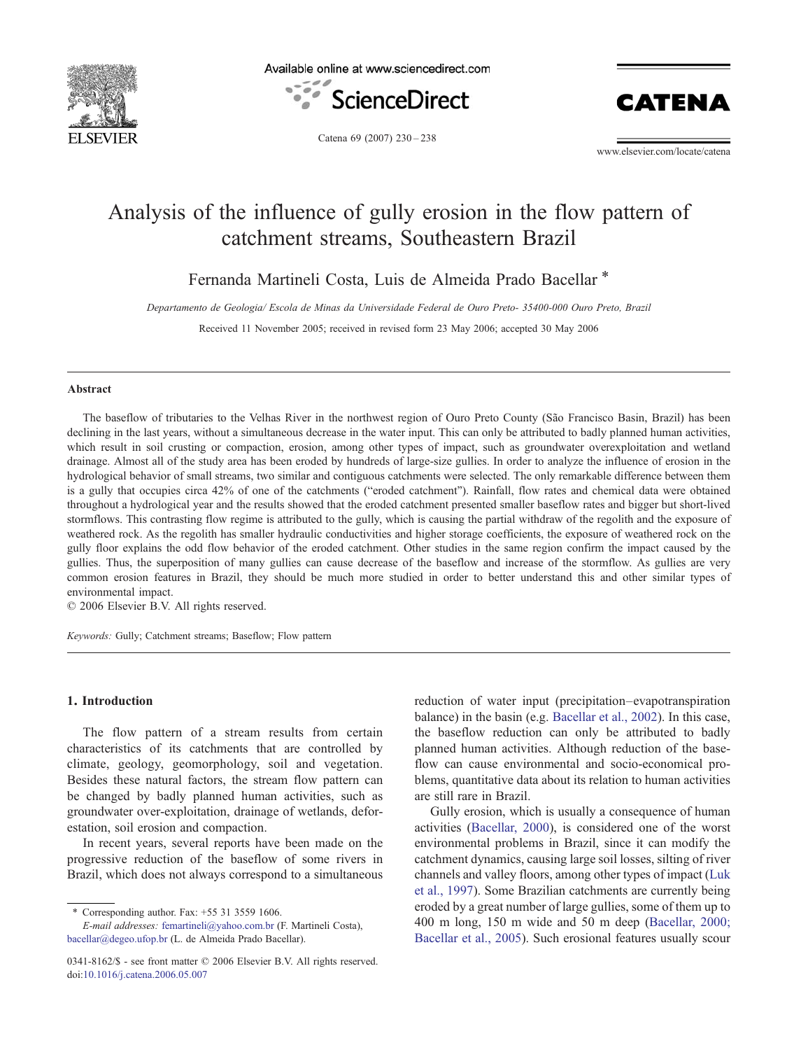

Available online at www.sciencedirect.com



**CATENA** 

Catena 69 (2007) 230–238

www.elsevier.com/locate/catena

# Analysis of the influence of gully erosion in the flow pattern of catchment streams, Southeastern Brazil

Fernanda Martineli Costa, Luis de Almeida Prado Bacellar<sup>\*</sup>

Departamento de Geologia/ Escola de Minas da Universidade Federal de Ouro Preto- 35400-000 Ouro Preto, Brazil

Received 11 November 2005; received in revised form 23 May 2006; accepted 30 May 2006

#### Abstract

The baseflow of tributaries to the Velhas River in the northwest region of Ouro Preto County (São Francisco Basin, Brazil) has been declining in the last years, without a simultaneous decrease in the water input. This can only be attributed to badly planned human activities, which result in soil crusting or compaction, erosion, among other types of impact, such as groundwater overexploitation and wetland drainage. Almost all of the study area has been eroded by hundreds of large-size gullies. In order to analyze the influence of erosion in the hydrological behavior of small streams, two similar and contiguous catchments were selected. The only remarkable difference between them is a gully that occupies circa 42% of one of the catchments ("eroded catchment"). Rainfall, flow rates and chemical data were obtained throughout a hydrological year and the results showed that the eroded catchment presented smaller baseflow rates and bigger but short-lived stormflows. This contrasting flow regime is attributed to the gully, which is causing the partial withdraw of the regolith and the exposure of weathered rock. As the regolith has smaller hydraulic conductivities and higher storage coefficients, the exposure of weathered rock on the gully floor explains the odd flow behavior of the eroded catchment. Other studies in the same region confirm the impact caused by the gullies. Thus, the superposition of many gullies can cause decrease of the baseflow and increase of the stormflow. As gullies are very common erosion features in Brazil, they should be much more studied in order to better understand this and other similar types of environmental impact.

© 2006 Elsevier B.V. All rights reserved.

Keywords: Gully; Catchment streams; Baseflow; Flow pattern

# 1. Introduction

The flow pattern of a stream results from certain characteristics of its catchments that are controlled by climate, geology, geomorphology, soil and vegetation. Besides these natural factors, the stream flow pattern can be changed by badly planned human activities, such as groundwater over-exploitation, drainage of wetlands, deforestation, soil erosion and compaction.

In recent years, several reports have been made on the progressive reduction of the baseflow of some rivers in Brazil, which does not always correspond to a simultaneous

reduction of water input (precipitation–evapotranspiration balance) in the basin (e.g. [Bacellar et al., 2002](#page-7-0)). In this case, the baseflow reduction can only be attributed to badly planned human activities. Although reduction of the baseflow can cause environmental and socio-economical problems, quantitative data about its relation to human activities are still rare in Brazil.

Gully erosion, which is usually a consequence of human activities ([Bacellar, 2000\)](#page-7-0), is considered one of the worst environmental problems in Brazil, since it can modify the catchment dynamics, causing large soil losses, silting of river channels and valley floors, among other types of impact ([Luk](#page-7-0) [et al., 1997](#page-7-0)). Some Brazilian catchments are currently being eroded by a great number of large gullies, some of them up to 400 m long, 150 m wide and 50 m deep [\(Bacellar, 2000;](#page-7-0) [Bacellar et al., 2005\)](#page-7-0). Such erosional features usually scour

<sup>⁎</sup> Corresponding author. Fax: +55 31 3559 1606.

E-mail addresses: [femartineli@yahoo.com.br](mailto:femartineli@yahoo.com.br) (F. Martineli Costa), [bacellar@degeo.ufop.br](mailto:bacellar@degeo.ufop.br) (L. de Almeida Prado Bacellar).

<sup>0341-8162/\$ -</sup> see front matter © 2006 Elsevier B.V. All rights reserved. doi[:10.1016/j.catena.2006.05.007](http://dx.doi.org/10.1016/j.catena.2006.05.007)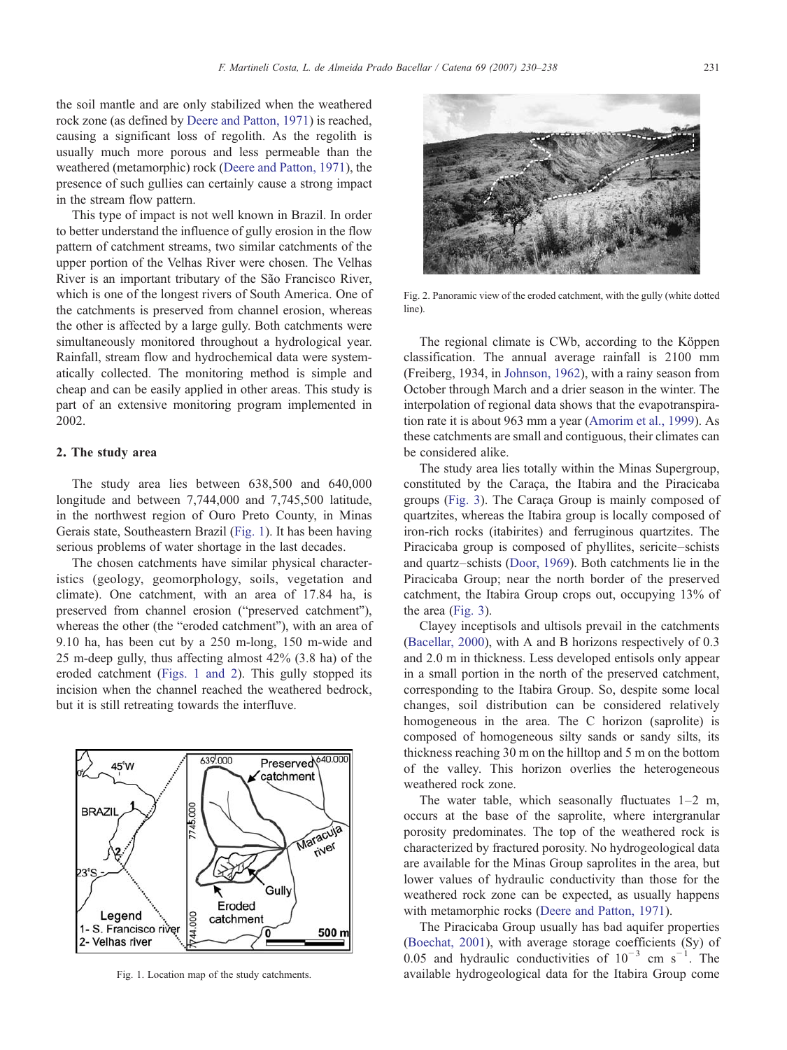the soil mantle and are only stabilized when the weathered rock zone (as defined by [Deere and Patton, 1971\)](#page-7-0) is reached, causing a significant loss of regolith. As the regolith is usually much more porous and less permeable than the weathered (metamorphic) rock [\(Deere and Patton, 1971\)](#page-7-0), the presence of such gullies can certainly cause a strong impact in the stream flow pattern.

This type of impact is not well known in Brazil. In order to better understand the influence of gully erosion in the flow pattern of catchment streams, two similar catchments of the upper portion of the Velhas River were chosen. The Velhas River is an important tributary of the São Francisco River, which is one of the longest rivers of South America. One of the catchments is preserved from channel erosion, whereas the other is affected by a large gully. Both catchments were simultaneously monitored throughout a hydrological year. Rainfall, stream flow and hydrochemical data were systematically collected. The monitoring method is simple and cheap and can be easily applied in other areas. This study is part of an extensive monitoring program implemented in 2002.

#### 2. The study area

 $45^{\circ}$ W

Legend

2- Velhas river

S. Francisco river

**BRAZIL** 

 $30<$ 

The study area lies between 638,500 and 640,000 longitude and between 7,744,000 and 7,745,500 latitude, in the northwest region of Ouro Preto County, in Minas Gerais state, Southeastern Brazil (Fig. 1). It has been having serious problems of water shortage in the last decades.

The chosen catchments have similar physical characteristics (geology, geomorphology, soils, vegetation and climate). One catchment, with an area of 17.84 ha, is preserved from channel erosion ("preserved catchment"), whereas the other (the "eroded catchment"), with an area of 9.10 ha, has been cut by a 250 m-long, 150 m-wide and 25 m-deep gully, thus affecting almost 42% (3.8 ha) of the eroded catchment (Figs. 1 and 2). This gully stopped its incision when the channel reached the weathered bedrock, but it is still retreating towards the interfluve.

639.000

745.000

44.000

Preserved\640.000

Maracuja<br>Maracuja rauer<br>river

500 n

catchment

Gully



Eroded

catchment

Fig. 2. Panoramic view of the eroded catchment, with the gully (white dotted line).

The regional climate is CWb, according to the Köppen classification. The annual average rainfall is 2100 mm (Freiberg, 1934, in [Johnson, 1962](#page-7-0)), with a rainy season from October through March and a drier season in the winter. The interpolation of regional data shows that the evapotranspiration rate it is about 963 mm a year ([Amorim et al., 1999](#page-7-0)). As these catchments are small and contiguous, their climates can be considered alike.

The study area lies totally within the Minas Supergroup, constituted by the Caraça, the Itabira and the Piracicaba groups [\(Fig. 3\)](#page-2-0). The Caraça Group is mainly composed of quartzites, whereas the Itabira group is locally composed of iron-rich rocks (itabirites) and ferruginous quartzites. The Piracicaba group is composed of phyllites, sericite–schists and quartz–schists ([Door, 1969](#page-7-0)). Both catchments lie in the Piracicaba Group; near the north border of the preserved catchment, the Itabira Group crops out, occupying 13% of the area [\(Fig. 3\)](#page-2-0).

Clayey inceptisols and ultisols prevail in the catchments ([Bacellar, 2000\)](#page-7-0), with A and B horizons respectively of 0.3 and 2.0 m in thickness. Less developed entisols only appear in a small portion in the north of the preserved catchment, corresponding to the Itabira Group. So, despite some local changes, soil distribution can be considered relatively homogeneous in the area. The C horizon (saprolite) is composed of homogeneous silty sands or sandy silts, its thickness reaching 30 m on the hilltop and 5 m on the bottom of the valley. This horizon overlies the heterogeneous weathered rock zone.

The water table, which seasonally fluctuates  $1-2$  m, occurs at the base of the saprolite, where intergranular porosity predominates. The top of the weathered rock is characterized by fractured porosity. No hydrogeological data are available for the Minas Group saprolites in the area, but lower values of hydraulic conductivity than those for the weathered rock zone can be expected, as usually happens with metamorphic rocks ([Deere and Patton, 1971](#page-7-0)).

The Piracicaba Group usually has bad aquifer properties ([Boechat, 2001\)](#page-7-0), with average storage coefficients (Sy) of 0.05 and hydraulic conductivities of  $10^{-3}$  cm s<sup>-1</sup>. The Fig. 1. Location map of the study catchments. available hydrogeological data for the Itabira Group come

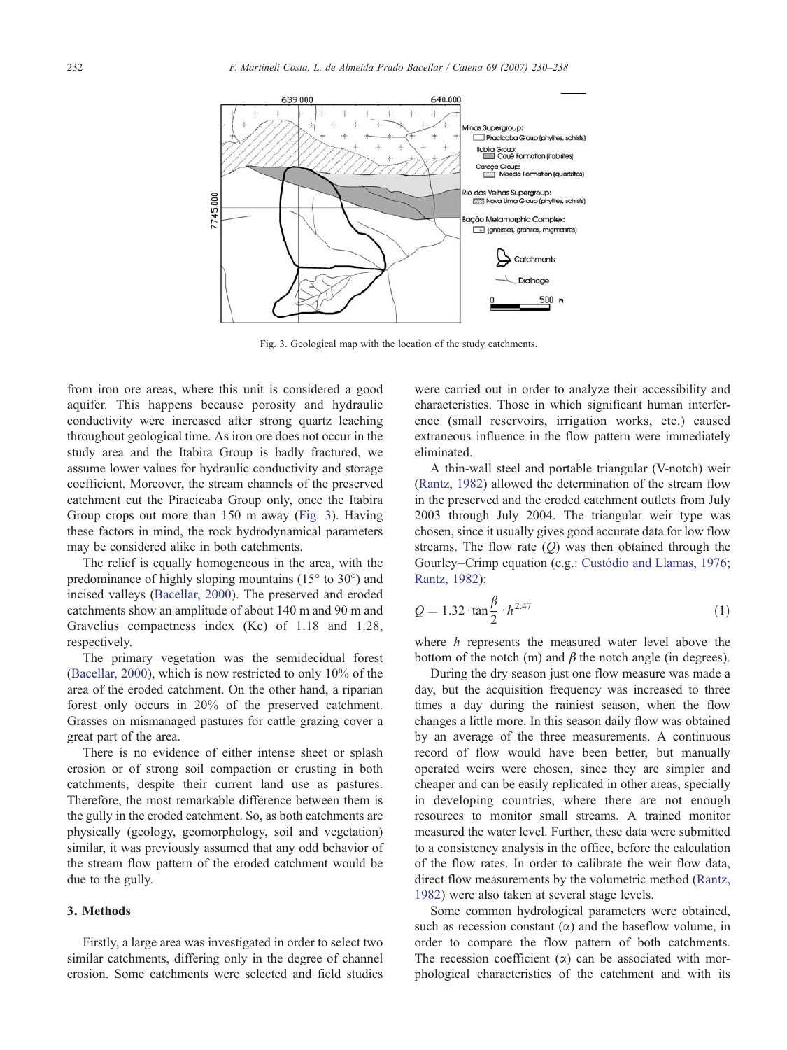<span id="page-2-0"></span>

Fig. 3. Geological map with the location of the study catchments.

from iron ore areas, where this unit is considered a good aquifer. This happens because porosity and hydraulic conductivity were increased after strong quartz leaching throughout geological time. As iron ore does not occur in the study area and the Itabira Group is badly fractured, we assume lower values for hydraulic conductivity and storage coefficient. Moreover, the stream channels of the preserved catchment cut the Piracicaba Group only, once the Itabira Group crops out more than 150 m away (Fig. 3). Having these factors in mind, the rock hydrodynamical parameters may be considered alike in both catchments.

The relief is equally homogeneous in the area, with the predominance of highly sloping mountains (15° to 30°) and incised valleys ([Bacellar, 2000](#page-7-0)). The preserved and eroded catchments show an amplitude of about 140 m and 90 m and Gravelius compactness index (Kc) of 1.18 and 1.28, respectively.

The primary vegetation was the semidecidual forest ([Bacellar, 2000\)](#page-7-0), which is now restricted to only 10% of the area of the eroded catchment. On the other hand, a riparian forest only occurs in 20% of the preserved catchment. Grasses on mismanaged pastures for cattle grazing cover a great part of the area.

There is no evidence of either intense sheet or splash erosion or of strong soil compaction or crusting in both catchments, despite their current land use as pastures. Therefore, the most remarkable difference between them is the gully in the eroded catchment. So, as both catchments are physically (geology, geomorphology, soil and vegetation) similar, it was previously assumed that any odd behavior of the stream flow pattern of the eroded catchment would be due to the gully.

# 3. Methods

Firstly, a large area was investigated in order to select two similar catchments, differing only in the degree of channel erosion. Some catchments were selected and field studies

were carried out in order to analyze their accessibility and characteristics. Those in which significant human interference (small reservoirs, irrigation works, etc.) caused extraneous influence in the flow pattern were immediately eliminated.

A thin-wall steel and portable triangular (V-notch) weir ([Rantz, 1982](#page-8-0)) allowed the determination of the stream flow in the preserved and the eroded catchment outlets from July 2003 through July 2004. The triangular weir type was chosen, since it usually gives good accurate data for low flow streams. The flow rate  $(O)$  was then obtained through the Gourley–Crimp equation (e.g.: [Custódio and Llamas, 1976](#page-7-0); [Rantz, 1982](#page-8-0)):

$$
Q = 1.32 \cdot \tan\frac{\beta}{2} \cdot h^{2.47} \tag{1}
$$

where  $h$  represents the measured water level above the bottom of the notch (m) and  $\beta$  the notch angle (in degrees).

During the dry season just one flow measure was made a day, but the acquisition frequency was increased to three times a day during the rainiest season, when the flow changes a little more. In this season daily flow was obtained by an average of the three measurements. A continuous record of flow would have been better, but manually operated weirs were chosen, since they are simpler and cheaper and can be easily replicated in other areas, specially in developing countries, where there are not enough resources to monitor small streams. A trained monitor measured the water level. Further, these data were submitted to a consistency analysis in the office, before the calculation of the flow rates. In order to calibrate the weir flow data, direct flow measurements by the volumetric method [\(Rantz,](#page-8-0) [1982\)](#page-8-0) were also taken at several stage levels.

Some common hydrological parameters were obtained, such as recession constant  $(\alpha)$  and the baseflow volume, in order to compare the flow pattern of both catchments. The recession coefficient  $(\alpha)$  can be associated with morphological characteristics of the catchment and with its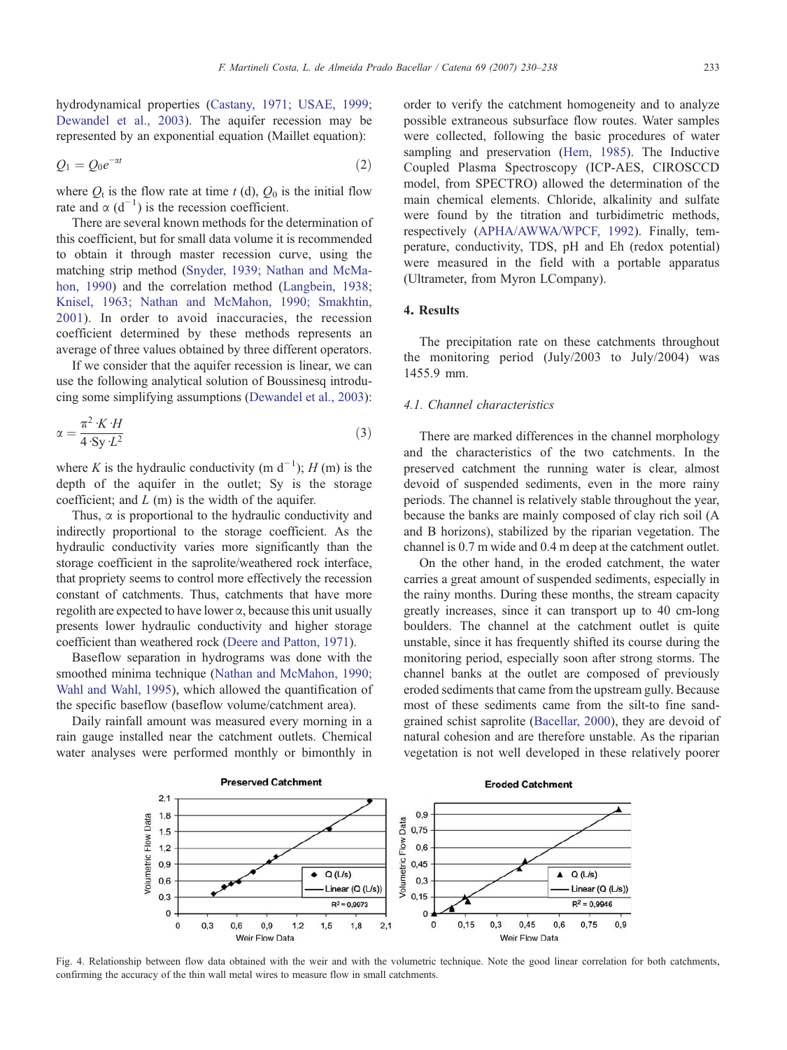<span id="page-3-0"></span>hydrodynamical properties [\(Castany, 1971; USAE, 1999;](#page-7-0) [Dewandel et al., 2003\)](#page-7-0). The aquifer recession may be represented by an exponential equation (Maillet equation):

$$
Q_1 = Q_0 e^{-\alpha t} \tag{2}
$$

where  $Q_t$  is the flow rate at time t (d),  $Q_0$  is the initial flow rate and  $\alpha$  (d<sup>-1</sup>) is the recession coefficient.

There are several known methods for the determination of this coefficient, but for small data volume it is recommended to obtain it through master recession curve, using the matching strip method [\(Snyder, 1939; Nathan and McMa](#page-8-0)[hon, 1990\)](#page-8-0) and the correlation method [\(Langbein, 1938;](#page-7-0) [Knisel, 1963; Nathan and McMahon, 1990; Smakhtin,](#page-7-0) [2001](#page-7-0)). In order to avoid inaccuracies, the recession coefficient determined by these methods represents an average of three values obtained by three different operators.

If we consider that the aquifer recession is linear, we can use the following analytical solution of Boussinesq introducing some simplifying assumptions ([Dewandel et al., 2003\)](#page-7-0):

$$
\alpha = \frac{\pi^2 \cdot K \cdot H}{4 \cdot \text{Sy} \cdot L^2} \tag{3}
$$

where K is the hydraulic conductivity (m  $d^{-1}$ ); H (m) is the depth of the aquifer in the outlet; Sy is the storage coefficient; and  $L(m)$  is the width of the aquifer.

Thus,  $\alpha$  is proportional to the hydraulic conductivity and indirectly proportional to the storage coefficient. As the hydraulic conductivity varies more significantly than the storage coefficient in the saprolite/weathered rock interface, that propriety seems to control more effectively the recession constant of catchments. Thus, catchments that have more regolith are expected to have lower  $\alpha$ , because this unit usually presents lower hydraulic conductivity and higher storage coefficient than weathered rock ([Deere and Patton, 1971](#page-7-0)).

Baseflow separation in hydrograms was done with the smoothed minima technique ([Nathan and McMahon, 1990;](#page-7-0) [Wahl and Wahl, 1995\)](#page-7-0), which allowed the quantification of the specific baseflow (baseflow volume/catchment area).

Daily rainfall amount was measured every morning in a rain gauge installed near the catchment outlets. Chemical water analyses were performed monthly or bimonthly in order to verify the catchment homogeneity and to analyze possible extraneous subsurface flow routes. Water samples were collected, following the basic procedures of water sampling and preservation [\(Hem, 1985](#page-7-0)). The Inductive Coupled Plasma Spectroscopy (ICP-AES, CIROSCCD model, from SPECTRO) allowed the determination of the main chemical elements. Chloride, alkalinity and sulfate were found by the titration and turbidimetric methods, respectively ([APHA/AWWA/WPCF, 1992\)](#page-7-0). Finally, temperature, conductivity, TDS, pH and Eh (redox potential) were measured in the field with a portable apparatus (Ultrameter, from Myron LCompany).

# 4. Results

The precipitation rate on these catchments throughout the monitoring period (July/2003 to July/2004) was 1455.9 mm.

#### 4.1. Channel characteristics

There are marked differences in the channel morphology and the characteristics of the two catchments. In the preserved catchment the running water is clear, almost devoid of suspended sediments, even in the more rainy periods. The channel is relatively stable throughout the year, because the banks are mainly composed of clay rich soil (A and B horizons), stabilized by the riparian vegetation. The channel is 0.7 m wide and 0.4 m deep at the catchment outlet.

On the other hand, in the eroded catchment, the water carries a great amount of suspended sediments, especially in the rainy months. During these months, the stream capacity greatly increases, since it can transport up to 40 cm-long boulders. The channel at the catchment outlet is quite unstable, since it has frequently shifted its course during the monitoring period, especially soon after strong storms. The channel banks at the outlet are composed of previously eroded sediments that came from the upstream gully. Because most of these sediments came from the silt-to fine sandgrained schist saprolite [\(Bacellar, 2000](#page-7-0)), they are devoid of natural cohesion and are therefore unstable. As the riparian vegetation is not well developed in these relatively poorer



Fig. 4. Relationship between flow data obtained with the weir and with the volumetric technique. Note the good linear correlation for both catchments, confirming the accuracy of the thin wall metal wires to measure flow in small catchments.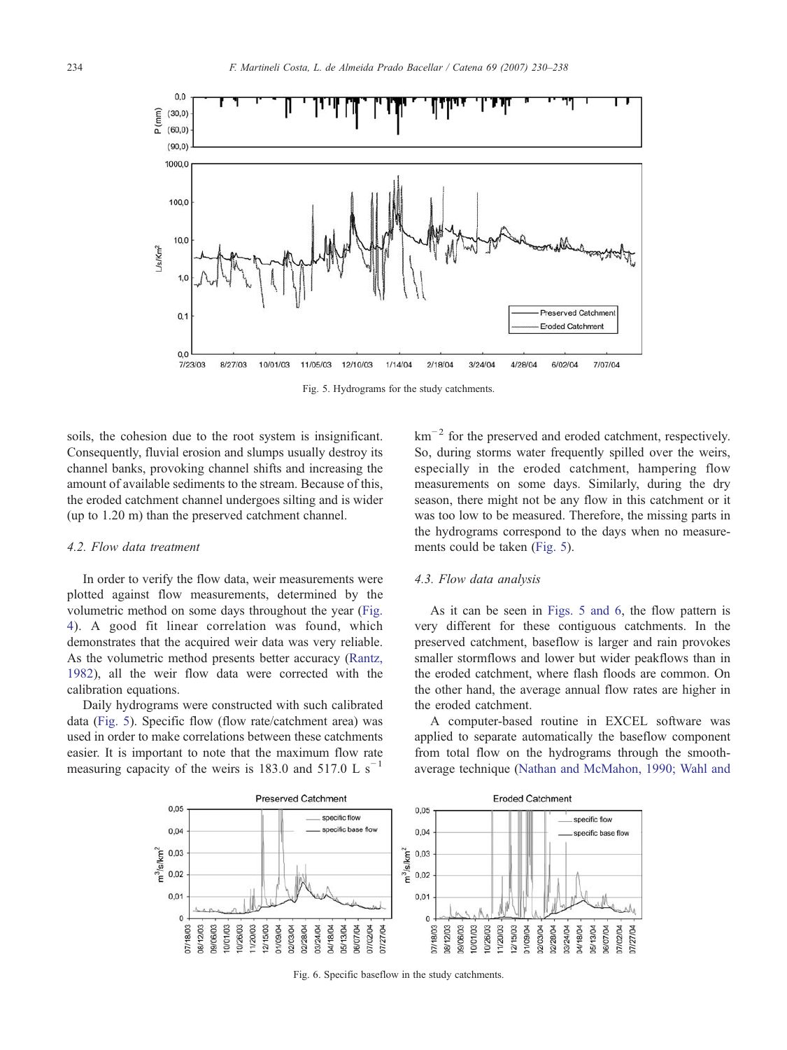<span id="page-4-0"></span>

Fig. 5. Hydrograms for the study catchments.

soils, the cohesion due to the root system is insignificant. Consequently, fluvial erosion and slumps usually destroy its channel banks, provoking channel shifts and increasing the amount of available sediments to the stream. Because of this, the eroded catchment channel undergoes silting and is wider (up to 1.20 m) than the preserved catchment channel.

#### 4.2. Flow data treatment

In order to verify the flow data, weir measurements were plotted against flow measurements, determined by the volumetric method on some days throughout the year [\(Fig.](#page-3-0) [4\)](#page-3-0). A good fit linear correlation was found, which demonstrates that the acquired weir data was very reliable. As the volumetric method presents better accuracy [\(Rantz,](#page-8-0) [1982\)](#page-8-0), all the weir flow data were corrected with the calibration equations.

Daily hydrograms were constructed with such calibrated data (Fig. 5). Specific flow (flow rate/catchment area) was used in order to make correlations between these catchments easier. It is important to note that the maximum flow rate measuring capacity of the weirs is 183.0 and 517.0 L s<sup>−1</sup>

km<sup>-2</sup> for the preserved and eroded catchment, respectively. So, during storms water frequently spilled over the weirs, especially in the eroded catchment, hampering flow measurements on some days. Similarly, during the dry season, there might not be any flow in this catchment or it was too low to be measured. Therefore, the missing parts in the hydrograms correspond to the days when no measurements could be taken (Fig. 5).

# 4.3. Flow data analysis

As it can be seen in Figs. 5 and 6, the flow pattern is very different for these contiguous catchments. In the preserved catchment, baseflow is larger and rain provokes smaller stormflows and lower but wider peakflows than in the eroded catchment, where flash floods are common. On the other hand, the average annual flow rates are higher in the eroded catchment.

A computer-based routine in EXCEL software was applied to separate automatically the baseflow component from total flow on the hydrograms through the smoothaverage technique [\(Nathan and McMahon, 1990; Wahl and](#page-7-0)



Fig. 6. Specific baseflow in the study catchments.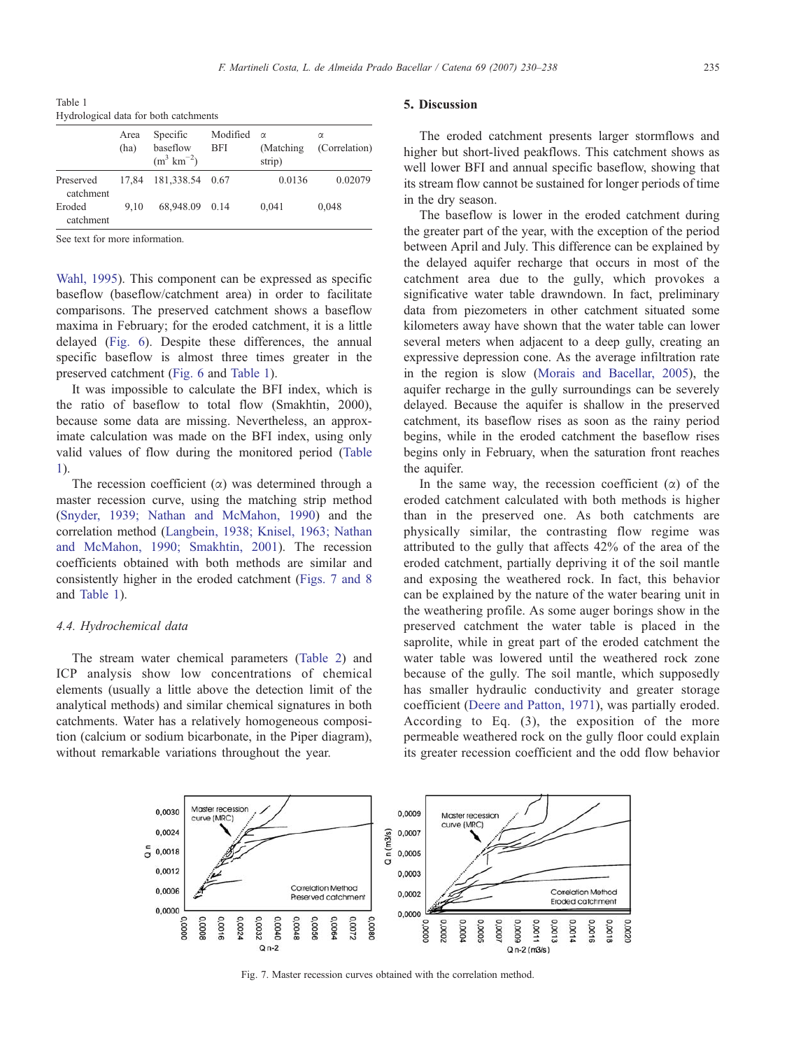Table 1 Hydrological data for both catchments

|                        | Area<br>(ha) | Specific<br>baseflow<br>$(m^3 \text{ km}^{-2})$ | Modified<br>BFI | $\alpha$<br>(Matching)<br>strip) | α<br>(Correlation) |
|------------------------|--------------|-------------------------------------------------|-----------------|----------------------------------|--------------------|
| Preserved<br>catchment |              | 17,84 181,338.54 0.67                           |                 | 0.0136                           | 0.02079            |
| Eroded<br>catchment    | 9.10         | 68,948.09                                       | 0.14            | 0.041                            | 0,048              |

See text for more information.

[Wahl, 1995](#page-7-0)). This component can be expressed as specific baseflow (baseflow/catchment area) in order to facilitate comparisons. The preserved catchment shows a baseflow maxima in February; for the eroded catchment, it is a little delayed ([Fig. 6\)](#page-4-0). Despite these differences, the annual specific baseflow is almost three times greater in the preserved catchment ([Fig. 6](#page-4-0) and Table 1).

It was impossible to calculate the BFI index, which is the ratio of baseflow to total flow (Smakhtin, 2000), because some data are missing. Nevertheless, an approximate calculation was made on the BFI index, using only valid values of flow during the monitored period (Table 1).

The recession coefficient  $(\alpha)$  was determined through a master recession curve, using the matching strip method ([Snyder, 1939; Nathan and McMahon, 1990\)](#page-8-0) and the correlation method [\(Langbein, 1938; Knisel, 1963; Nathan](#page-7-0) [and McMahon, 1990; Smakhtin, 2001](#page-7-0)). The recession coefficients obtained with both methods are similar and consistently higher in the eroded catchment (Figs. 7 and 8 and Table 1).

# 4.4. Hydrochemical data

The stream water chemical parameters [\(Table 2\)](#page-6-0) and ICP analysis show low concentrations of chemical elements (usually a little above the detection limit of the analytical methods) and similar chemical signatures in both catchments. Water has a relatively homogeneous composition (calcium or sodium bicarbonate, in the Piper diagram), without remarkable variations throughout the year.

# 5. Discussion

The eroded catchment presents larger stormflows and higher but short-lived peakflows. This catchment shows as well lower BFI and annual specific baseflow, showing that its stream flow cannot be sustained for longer periods of time in the dry season.

The baseflow is lower in the eroded catchment during the greater part of the year, with the exception of the period between April and July. This difference can be explained by the delayed aquifer recharge that occurs in most of the catchment area due to the gully, which provokes a significative water table drawndown. In fact, preliminary data from piezometers in other catchment situated some kilometers away have shown that the water table can lower several meters when adjacent to a deep gully, creating an expressive depression cone. As the average infiltration rate in the region is slow [\(Morais and Bacellar, 2005](#page-7-0)), the aquifer recharge in the gully surroundings can be severely delayed. Because the aquifer is shallow in the preserved catchment, its baseflow rises as soon as the rainy period begins, while in the eroded catchment the baseflow rises begins only in February, when the saturation front reaches the aquifer.

In the same way, the recession coefficient  $(\alpha)$  of the eroded catchment calculated with both methods is higher than in the preserved one. As both catchments are physically similar, the contrasting flow regime was attributed to the gully that affects 42% of the area of the eroded catchment, partially depriving it of the soil mantle and exposing the weathered rock. In fact, this behavior can be explained by the nature of the water bearing unit in the weathering profile. As some auger borings show in the preserved catchment the water table is placed in the saprolite, while in great part of the eroded catchment the water table was lowered until the weathered rock zone because of the gully. The soil mantle, which supposedly has smaller hydraulic conductivity and greater storage coefficient ([Deere and Patton, 1971\)](#page-7-0), was partially eroded. According to Eq. (3), the exposition of the more permeable weathered rock on the gully floor could explain its greater recession coefficient and the odd flow behavior



Fig. 7. Master recession curves obtained with the correlation method.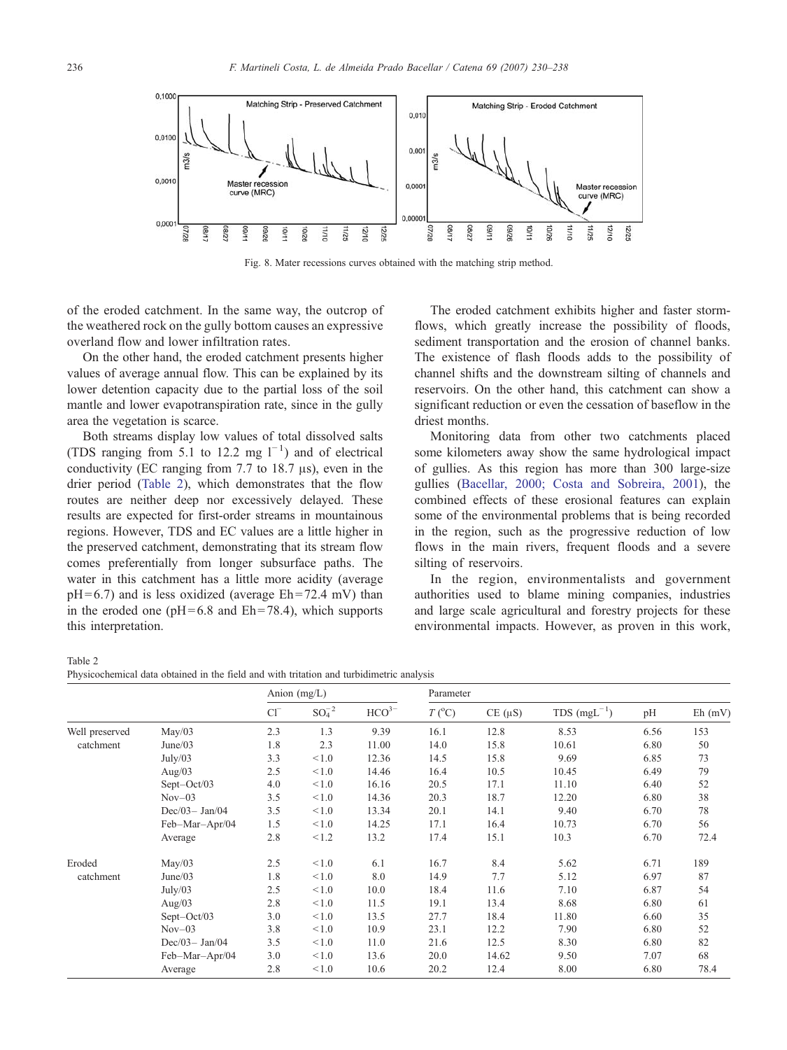<span id="page-6-0"></span>

Fig. 8. Mater recessions curves obtained with the matching strip method.

of the eroded catchment. In the same way, the outcrop of the weathered rock on the gully bottom causes an expressive overland flow and lower infiltration rates.

On the other hand, the eroded catchment presents higher values of average annual flow. This can be explained by its lower detention capacity due to the partial loss of the soil mantle and lower evapotranspiration rate, since in the gully area the vegetation is scarce.

Both streams display low values of total dissolved salts (TDS ranging from 5.1 to 12.2 mg  $1^{-1}$ ) and of electrical conductivity (EC ranging from 7.7 to 18.7 μs), even in the drier period (Table 2), which demonstrates that the flow routes are neither deep nor excessively delayed. These results are expected for first-order streams in mountainous regions. However, TDS and EC values are a little higher in the preserved catchment, demonstrating that its stream flow comes preferentially from longer subsurface paths. The water in this catchment has a little more acidity (average  $pH = 6.7$ ) and is less oxidized (average  $Eh = 72.4$  mV) than in the eroded one ( $pH = 6.8$  and  $Eh = 78.4$ ), which supports this interpretation.

The eroded catchment exhibits higher and faster stormflows, which greatly increase the possibility of floods, sediment transportation and the erosion of channel banks. The existence of flash floods adds to the possibility of channel shifts and the downstream silting of channels and reservoirs. On the other hand, this catchment can show a significant reduction or even the cessation of baseflow in the driest months.

Monitoring data from other two catchments placed some kilometers away show the same hydrological impact of gullies. As this region has more than 300 large-size gullies [\(Bacellar, 2000; Costa and Sobreira, 2001](#page-7-0)), the combined effects of these erosional features can explain some of the environmental problems that is being recorded in the region, such as the progressive reduction of low flows in the main rivers, frequent floods and a severe silting of reservoirs.

In the region, environmentalists and government authorities used to blame mining companies, industries and large scale agricultural and forestry projects for these environmental impacts. However, as proven in this work,

Table 2

Physicochemical data obtained in the field and with tritation and turbidimetric analysis

|                             |                   | Anion $(mg/L)$ |             |                   | Parameter        |             |                  |      |           |
|-----------------------------|-------------------|----------------|-------------|-------------------|------------------|-------------|------------------|------|-----------|
|                             |                   | $Cl^{-}$       | $SO_4^{-2}$ | HCO <sup>3–</sup> | $T({}^{\circ}C)$ | $CE(\mu S)$ | TDS $(mgL^{-1})$ | pH   | $Eh$ (mV) |
| Well preserved<br>catchment | May/03            | 2.3            | 1.3         | 9.39              | 16.1             | 12.8        | 8.53             | 6.56 | 153       |
|                             | June/03           | 1.8            | 2.3         | 11.00             | 14.0             | 15.8        | 10.61            | 6.80 | 50        |
|                             | July/03           | 3.3            | < 1.0       | 12.36             | 14.5             | 15.8        | 9.69             | 6.85 | 73        |
|                             | Aug/ $03$         | 2.5            | < 1.0       | 14.46             | 16.4             | 10.5        | 10.45            | 6.49 | 79        |
|                             | Sept-Oct/03       | 4.0            | < 1.0       | 16.16             | 20.5             | 17.1        | 11.10            | 6.40 | 52        |
|                             | $Nov-03$          | 3.5            | < 1.0       | 14.36             | 20.3             | 18.7        | 12.20            | 6.80 | 38        |
|                             | $Dec/03 - Jan/04$ | 3.5            | < 1.0       | 13.34             | 20.1             | 14.1        | 9.40             | 6.70 | 78        |
|                             | Feb-Mar-Apr/04    | 1.5            | < 1.0       | 14.25             | 17.1             | 16.4        | 10.73            | 6.70 | 56        |
|                             | Average           | 2.8            | < 1.2       | 13.2              | 17.4             | 15.1        | 10.3             | 6.70 | 72.4      |
| Eroded<br>catchment         | May/03            | 2.5            | < 1.0       | 6.1               | 16.7             | 8.4         | 5.62             | 6.71 | 189       |
|                             | June/03           | 1.8            | < 1.0       | 8.0               | 14.9             | 7.7         | 5.12             | 6.97 | 87        |
|                             | July/03           | 2.5            | < 1.0       | 10.0              | 18.4             | 11.6        | 7.10             | 6.87 | 54        |
|                             | Aug/ $03$         | 2.8            | < 1.0       | 11.5              | 19.1             | 13.4        | 8.68             | 6.80 | 61        |
|                             | Sept-Oct/03       | 3.0            | < 1.0       | 13.5              | 27.7             | 18.4        | 11.80            | 6.60 | 35        |
|                             | $Nov-03$          | 3.8            | < 1.0       | 10.9              | 23.1             | 12.2        | 7.90             | 6.80 | 52        |
|                             | $Dec/03 - Jan/04$ | 3.5            | < 1.0       | 11.0              | 21.6             | 12.5        | 8.30             | 6.80 | 82        |
|                             | Feb-Mar-Apr/04    | 3.0            | < 1.0       | 13.6              | 20.0             | 14.62       | 9.50             | 7.07 | 68        |
|                             | Average           | 2.8            | < 1.0       | 10.6              | 20.2             | 12.4        | 8.00             | 6.80 | 78.4      |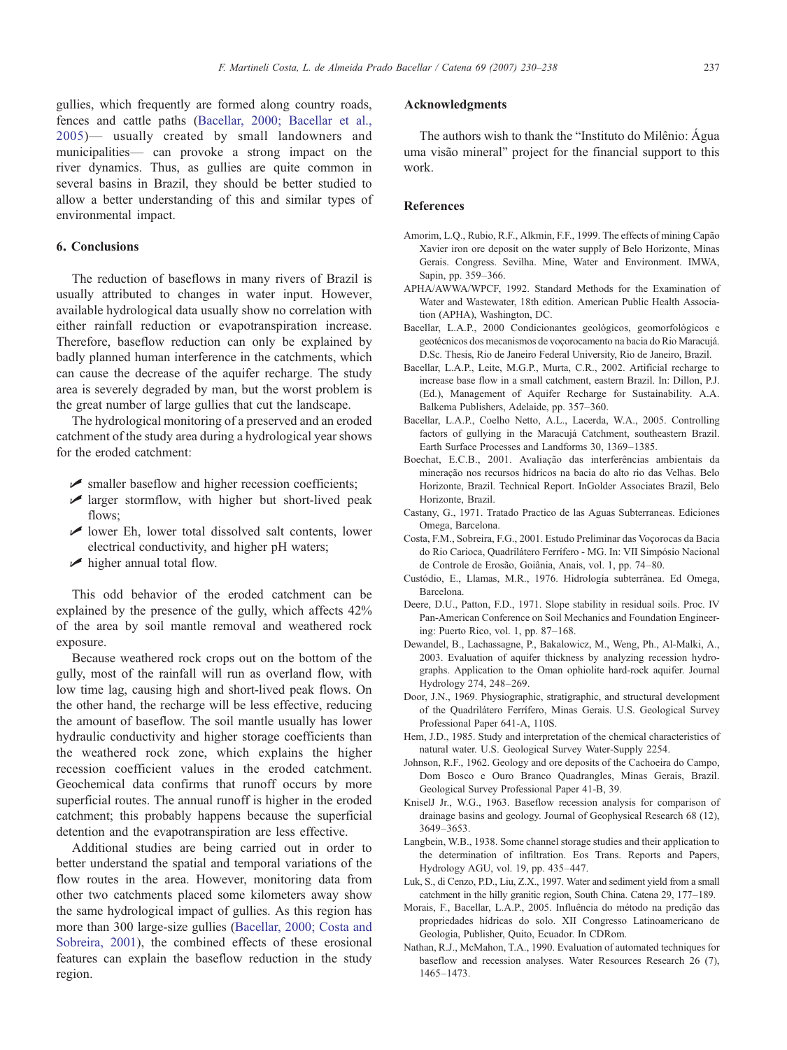<span id="page-7-0"></span>gullies, which frequently are formed along country roads, fences and cattle paths (Bacellar, 2000; Bacellar et al., 2005)— usually created by small landowners and municipalities— can provoke a strong impact on the river dynamics. Thus, as gullies are quite common in several basins in Brazil, they should be better studied to allow a better understanding of this and similar types of environmental impact.

# 6. Conclusions

The reduction of baseflows in many rivers of Brazil is usually attributed to changes in water input. However, available hydrological data usually show no correlation with either rainfall reduction or evapotranspiration increase. Therefore, baseflow reduction can only be explained by badly planned human interference in the catchments, which can cause the decrease of the aquifer recharge. The study area is severely degraded by man, but the worst problem is the great number of large gullies that cut the landscape.

The hydrological monitoring of a preserved and an eroded catchment of the study area during a hydrological year shows for the eroded catchment:

- $\triangleright$  smaller baseflow and higher recession coefficients;
- $\blacktriangleright$  larger stormflow, with higher but short-lived peak flows;
- $\triangleright$  lower Eh, lower total dissolved salt contents, lower electrical conductivity, and higher pH waters;
- $\triangleright$  higher annual total flow.

This odd behavior of the eroded catchment can be explained by the presence of the gully, which affects 42% of the area by soil mantle removal and weathered rock exposure.

Because weathered rock crops out on the bottom of the gully, most of the rainfall will run as overland flow, with low time lag, causing high and short-lived peak flows. On the other hand, the recharge will be less effective, reducing the amount of baseflow. The soil mantle usually has lower hydraulic conductivity and higher storage coefficients than the weathered rock zone, which explains the higher recession coefficient values in the eroded catchment. Geochemical data confirms that runoff occurs by more superficial routes. The annual runoff is higher in the eroded catchment; this probably happens because the superficial detention and the evapotranspiration are less effective.

Additional studies are being carried out in order to better understand the spatial and temporal variations of the flow routes in the area. However, monitoring data from other two catchments placed some kilometers away show the same hydrological impact of gullies. As this region has more than 300 large-size gullies (Bacellar, 2000; Costa and Sobreira, 2001), the combined effects of these erosional features can explain the baseflow reduction in the study region.

#### Acknowledgments

The authors wish to thank the "Instituto do Milênio: Água uma visão mineral" project for the financial support to this work.

# References

- Amorim, L.Q., Rubio, R.F., Alkmin, F.F., 1999. The effects of mining Capão Xavier iron ore deposit on the water supply of Belo Horizonte, Minas Gerais. Congress. Sevilha. Mine, Water and Environment. IMWA, Sapin, pp. 359–366.
- APHA/AWWA/WPCF, 1992. Standard Methods for the Examination of Water and Wastewater, 18th edition. American Public Health Association (APHA), Washington, DC.
- Bacellar, L.A.P., 2000 Condicionantes geológicos, geomorfológicos e geotécnicos dos mecanismos de voçorocamento na bacia do Rio Maracujá. D.Sc. Thesis, Rio de Janeiro Federal University, Rio de Janeiro, Brazil.
- Bacellar, L.A.P., Leite, M.G.P., Murta, C.R., 2002. Artificial recharge to increase base flow in a small catchment, eastern Brazil. In: Dillon, P.J. (Ed.), Management of Aquifer Recharge for Sustainability. A.A. Balkema Publishers, Adelaide, pp. 357–360.
- Bacellar, L.A.P., Coelho Netto, A.L., Lacerda, W.A., 2005. Controlling factors of gullying in the Maracujá Catchment, southeastern Brazil. Earth Surface Processes and Landforms 30, 1369–1385.
- Boechat, E.C.B., 2001. Avaliação das interferências ambientais da mineração nos recursos hídricos na bacia do alto rio das Velhas. Belo Horizonte, Brazil. Technical Report. InGolder Associates Brazil, Belo Horizonte, Brazil.
- Castany, G., 1971. Tratado Practico de las Aguas Subterraneas. Ediciones Omega, Barcelona.
- Costa, F.M., Sobreira, F.G., 2001. Estudo Preliminar das Voçorocas da Bacia do Rio Carioca, Quadrilátero Ferrífero - MG. In: VII Simpósio Nacional de Controle de Erosão, Goiânia, Anais, vol. 1, pp. 74–80.
- Custódio, E., Llamas, M.R., 1976. Hidrología subterrânea. Ed Omega, Barcelona.
- Deere, D.U., Patton, F.D., 1971. Slope stability in residual soils. Proc. IV Pan-American Conference on Soil Mechanics and Foundation Engineering: Puerto Rico, vol. 1, pp. 87–168.
- Dewandel, B., Lachassagne, P., Bakalowicz, M., Weng, Ph., Al-Malki, A., 2003. Evaluation of aquifer thickness by analyzing recession hydrographs. Application to the Oman ophiolite hard-rock aquifer. Journal Hydrology 274, 248–269.
- Door, J.N., 1969. Physiographic, stratigraphic, and structural development of the Quadrilátero Ferrífero, Minas Gerais. U.S. Geological Survey Professional Paper 641-A, 110S.
- Hem, J.D., 1985. Study and interpretation of the chemical characteristics of natural water. U.S. Geological Survey Water-Supply 2254.
- Johnson, R.F., 1962. Geology and ore deposits of the Cachoeira do Campo, Dom Bosco e Ouro Branco Quadrangles, Minas Gerais, Brazil. Geological Survey Professional Paper 41-B, 39.
- KniselJ Jr., W.G., 1963. Baseflow recession analysis for comparison of drainage basins and geology. Journal of Geophysical Research 68 (12), 3649–3653.
- Langbein, W.B., 1938. Some channel storage studies and their application to the determination of infiltration. Eos Trans. Reports and Papers, Hydrology AGU, vol. 19, pp. 435–447.
- Luk, S., di Cenzo, P.D., Liu, Z.X., 1997. Water and sediment yield from a small catchment in the hilly granitic region, South China. Catena 29, 177–189.
- Morais, F., Bacellar, L.A.P., 2005. Influência do método na predição das propriedades hídricas do solo. XII Congresso Latinoamericano de Geologia, Publisher, Quito, Ecuador. In CDRom.
- Nathan, R.J., McMahon, T.A., 1990. Evaluation of automated techniques for baseflow and recession analyses. Water Resources Research 26 (7), 1465–1473.